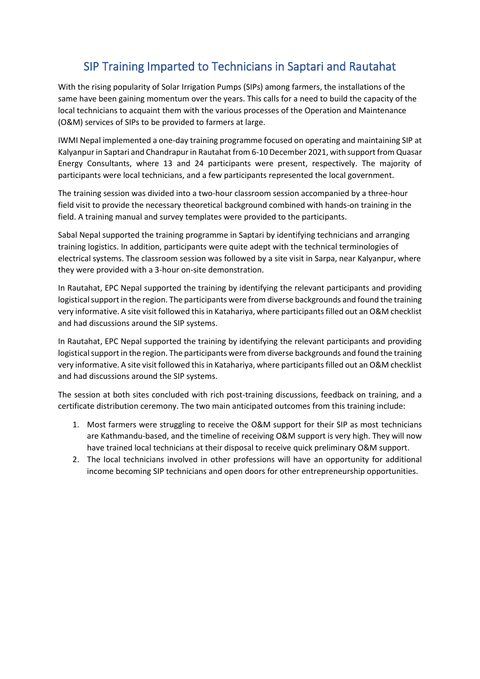## SIP Training Imparted to Technicians in Saptari and Rautahat

With the rising popularity of Solar Irrigation Pumps (SIPs) among farmers, the installations of the same have been gaining momentum over the years. This calls for a need to build the capacity of the local technicians to acquaint them with the various processes of the Operation and Maintenance (O&M) services of SIPs to be provided to farmers at large.

IWMI Nepal implemented a one-day training programme focused on operating and maintaining SIP at Kalyanpur in Saptari and Chandrapur in Rautahat from 6-10 December 2021, with support from Quasar Energy Consultants, where 13 and 24 participants were present, respectively. The majority of participants were local technicians, and a few participants represented the local government.

The training session was divided into a two-hour classroom session accompanied by a three-hour field visit to provide the necessary theoretical background combined with hands-on training in the field. A training manual and survey templates were provided to the participants.

Sabal Nepal supported the training programme in Saptari by identifying technicians and arranging training logistics. In addition, participants were quite adept with the technical terminologies of electrical systems. The classroom session was followed by a site visit in Sarpa, near Kalyanpur, where they were provided with a 3-hour on-site demonstration.

In Rautahat, EPC Nepal supported the training by identifying the relevant participants and providing logistical support in the region. The participants were from diverse backgrounds and found the training very informative. A site visit followed this in Katahariya, where participants filled out an O&M checklist and had discussions around the SIP systems.

In Rautahat, EPC Nepal supported the training by identifying the relevant participants and providing logistical support in the region. The participants were from diverse backgrounds and found the training very informative. A site visit followed this in Katahariya, where participants filled out an O&M checklist and had discussions around the SIP systems.

The session at both sites concluded with rich post-training discussions, feedback on training, and a certificate distribution ceremony. The two main anticipated outcomes from this training include:

- 1. Most farmers were struggling to receive the O&M support for their SIP as most technicians are Kathmandu-based, and the timeline of receiving O&M support is very high. They will now have trained local technicians at their disposal to receive quick preliminary O&M support.
- 2. The local technicians involved in other professions will have an opportunity for additional income becoming SIP technicians and open doors for other entrepreneurship opportunities.